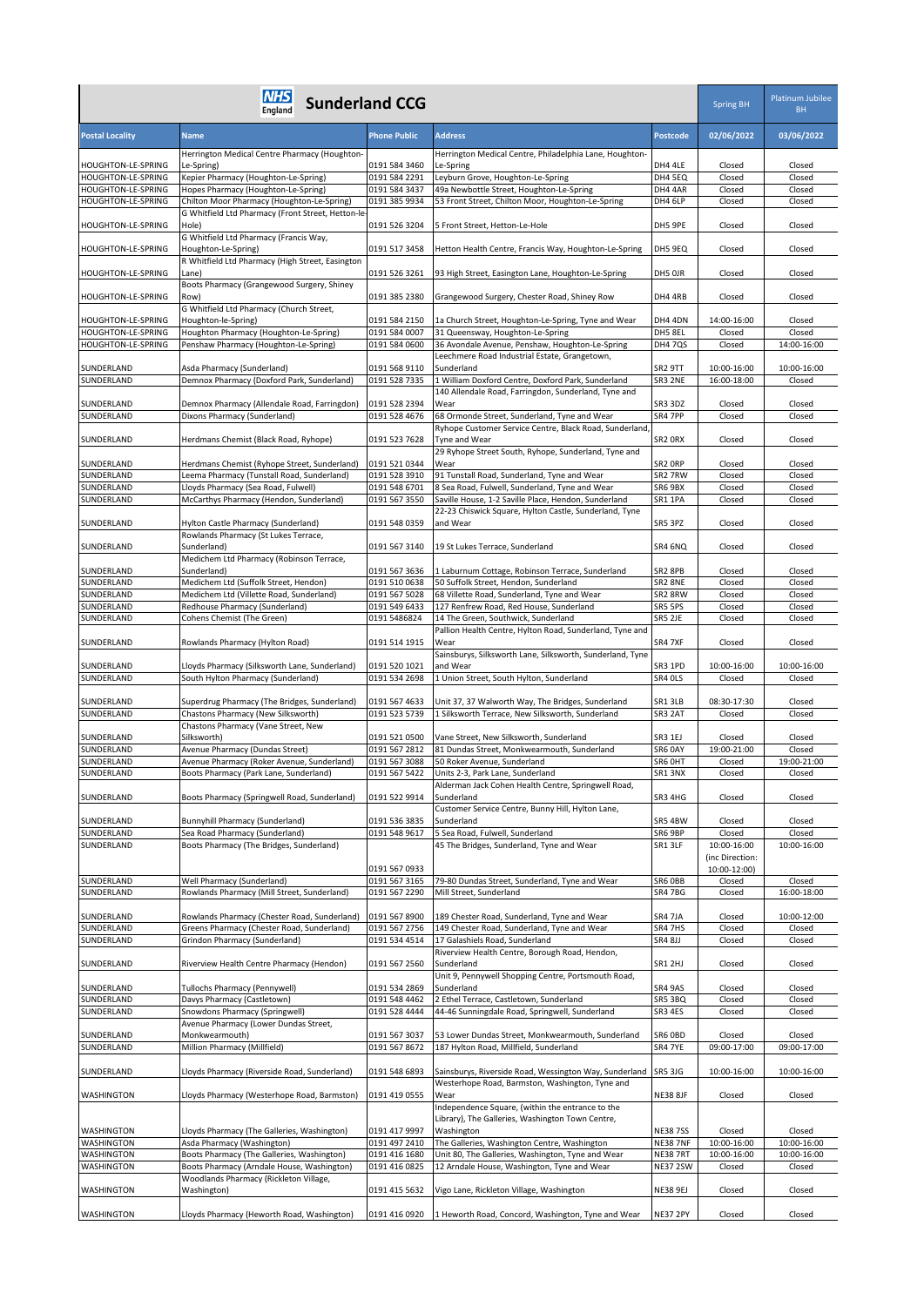| <b>NHS</b><br>England<br><b>Sunderland CCG</b> |                                                                                                 |  |                                |                                                                                                           |                                    | <b>Spring BH</b>                | Platinum Jubilee<br><b>BH</b> |
|------------------------------------------------|-------------------------------------------------------------------------------------------------|--|--------------------------------|-----------------------------------------------------------------------------------------------------------|------------------------------------|---------------------------------|-------------------------------|
| <b>Postal Locality</b>                         | <b>Name</b>                                                                                     |  | <b>Phone Public</b>            | <b>Address</b>                                                                                            | Postcode                           | 02/06/2022                      | 03/06/2022                    |
| HOUGHTON-LE-SPRING                             | Herrington Medical Centre Pharmacy (Houghton-<br>Le-Spring)                                     |  | 0191 584 3460                  | Herrington Medical Centre, Philadelphia Lane, Houghton-<br>Le-Spring                                      | DH4 4LE                            | Closed                          | Closed                        |
| <b>HOUGHTON-LE-SPRING</b>                      | Kepier Pharmacy (Houghton-Le-Spring)                                                            |  | 0191 584 2291                  | Leyburn Grove, Houghton-Le-Spring                                                                         | DH4 5EQ                            | Closed                          | Closed                        |
| HOUGHTON-LE-SPRING                             | Hopes Pharmacy (Houghton-Le-Spring)                                                             |  | 0191 584 3437                  | 49a Newbottle Street, Houghton-Le-Spring                                                                  | DH4 4AR                            | Closed                          | Closed                        |
| HOUGHTON-LE-SPRING                             | Chilton Moor Pharmacy (Houghton-Le-Spring)<br>G Whitfield Ltd Pharmacy (Front Street, Hetton-le |  | 0191 385 9934                  | 53 Front Street, Chilton Moor, Houghton-Le-Spring                                                         | DH4 6LP                            | Closed                          | Closed                        |
| HOUGHTON-LE-SPRING                             | Hole)<br>G Whitfield Ltd Pharmacy (Francis Way,                                                 |  | 0191 526 3204                  | 5 Front Street, Hetton-Le-Hole                                                                            | DH5 9PE                            | Closed                          | Closed                        |
| HOUGHTON-LE-SPRING                             | Houghton-Le-Spring)<br>R Whitfield Ltd Pharmacy (High Street, Easington                         |  | 0191 517 3458                  | Hetton Health Centre, Francis Way, Houghton-Le-Spring                                                     | DH5 9EQ                            | Closed                          | Closed                        |
| HOUGHTON-LE-SPRING                             | Lane)                                                                                           |  | 0191 526 3261                  | 93 High Street, Easington Lane, Houghton-Le-Spring                                                        | DH5 OJR                            | Closed                          | Closed                        |
| HOUGHTON-LE-SPRING                             | Boots Pharmacy (Grangewood Surgery, Shiney<br>Row)                                              |  | 0191 385 2380                  | Grangewood Surgery, Chester Road, Shiney Row                                                              | DH4 4RB                            | Closed                          | Closed                        |
| HOUGHTON-LE-SPRING                             | G Whitfield Ltd Pharmacy (Church Street,<br>Houghton-le-Spring)                                 |  | 0191 584 2150                  | 1a Church Street, Houghton-Le-Spring, Tyne and Wear                                                       | DH4 4DN                            | 14:00-16:00                     | Closed                        |
| HOUGHTON-LE-SPRING                             | Houghton Pharmacy (Houghton-Le-Spring)                                                          |  | 0191 584 0007                  | 31 Queensway, Houghton-Le-Spring                                                                          | DH5 8EL                            | Closed                          | Closed                        |
| HOUGHTON-LE-SPRING                             | Penshaw Pharmacy (Houghton-Le-Spring)                                                           |  | 0191 584 0600                  | 36 Avondale Avenue, Penshaw, Houghton-Le-Spring<br>Leechmere Road Industrial Estate, Grangetown,          | <b>DH4 7QS</b>                     | Closed                          | 14:00-16:00                   |
| SUNDERLAND                                     | Asda Pharmacy (Sunderland)                                                                      |  | 0191 568 9110                  | Sunderland                                                                                                | SR2 9TT                            | 10:00-16:00                     | 10:00-16:00                   |
| SUNDERLAND                                     | Demnox Pharmacy (Doxford Park, Sunderland)                                                      |  | 0191 528 7335                  | 1 William Doxford Centre, Doxford Park, Sunderland                                                        | SR3 2NE                            | 16:00-18:00                     | Closed                        |
| SUNDERLAND                                     | Demnox Pharmacy (Allendale Road, Farringdon)                                                    |  | 0191 528 2394                  | 140 Allendale Road, Farringdon, Sunderland, Tyne and<br>Wear                                              | SR3 3DZ                            | Closed                          | Closed                        |
| SUNDERLAND                                     | Dixons Pharmacy (Sunderland)                                                                    |  | 0191 528 4676                  | 68 Ormonde Street, Sunderland, Tyne and Wear                                                              | SR4 7PP                            | Closed                          | Closed                        |
| SUNDERLAND                                     | Herdmans Chemist (Black Road, Ryhope)                                                           |  | 0191 523 7628                  | Ryhope Customer Service Centre, Black Road, Sunderland,<br><b>Tyne and Wear</b>                           | SR2 ORX                            | Closed                          | Closed                        |
|                                                |                                                                                                 |  |                                | 29 Ryhope Street South, Ryhope, Sunderland, Tyne and                                                      |                                    |                                 |                               |
| SUNDERLAND<br>SUNDERLAND                       | Herdmans Chemist (Ryhope Street, Sunderland)<br>Leema Pharmacy (Tunstall Road, Sunderland)      |  | 0191 521 0344<br>0191 528 3910 | Wear<br>91 Tunstall Road, Sunderland, Tyne and Wear                                                       | SR2 ORP<br>SR2 7RW                 | Closed<br>Closed                | Closed<br>Closed              |
| SUNDERLAND                                     | Lloyds Pharmacy (Sea Road, Fulwell)                                                             |  | 0191 548 6701                  | 8 Sea Road, Fulwell, Sunderland, Tyne and Wear                                                            | SR6 9BX                            | Closed                          | Closed                        |
| SUNDERLAND                                     | McCarthys Pharmacy (Hendon, Sunderland)                                                         |  | 0191 567 3550                  | Saville House, 1-2 Saville Place, Hendon, Sunderland                                                      | SR1 1PA                            | Closed                          | Closed                        |
| SUNDERLAND                                     | Hylton Castle Pharmacy (Sunderland)                                                             |  | 0191 548 0359                  | 22-23 Chiswick Square, Hylton Castle, Sunderland, Tyne<br>and Wear                                        | SR5 3PZ                            | Closed                          | Closed                        |
| SUNDERLAND                                     | Rowlands Pharmacy (St Lukes Terrace,<br>Sunderland)                                             |  | 0191 567 3140                  | 19 St Lukes Terrace, Sunderland                                                                           | SR4 6NQ                            | Closed                          | Closed                        |
|                                                | Medichem Ltd Pharmacy (Robinson Terrace,                                                        |  |                                |                                                                                                           |                                    |                                 |                               |
| SUNDERLAND<br>SUNDERLAND                       | Sunderland)<br>Medichem Ltd (Suffolk Street, Hendon)                                            |  | 0191 567 3636<br>0191 510 0638 | 1 Laburnum Cottage, Robinson Terrace, Sunderland<br>50 Suffolk Street, Hendon, Sunderland                 | SR2 8PB<br>SR2 8NE                 | Closed<br>Closed                | Closed<br>Closed              |
| SUNDERLAND                                     | Medichem Ltd (Villette Road, Sunderland)                                                        |  | 0191 567 5028                  | 68 Villette Road, Sunderland, Tyne and Wear                                                               | SR2 8RW                            | Closed                          | Closed                        |
| SUNDERLAND                                     | Redhouse Pharmacy (Sunderland)                                                                  |  | 0191 549 6433                  | 127 Renfrew Road, Red House, Sunderland                                                                   | SR5 5PS                            | Closed                          | Closed                        |
| SUNDERLAND                                     | Cohens Chemist (The Green)                                                                      |  | 0191 5486824                   | 14 The Green, Southwick, Sunderland                                                                       | SR5 2JE                            | Closed                          | Closed                        |
| SUNDERLAND                                     | Rowlands Pharmacy (Hylton Road)                                                                 |  | 0191 514 1915                  | Pallion Health Centre, Hylton Road, Sunderland, Tyne and<br>Wear                                          | SR4 7XF                            | Closed                          | Closed                        |
| SUNDERLAND                                     | Lloyds Pharmacy (Silksworth Lane, Sunderland)                                                   |  | 0191 520 1021                  | Sainsburys, Silksworth Lane, Silksworth, Sunderland, Tyne<br>and Wear                                     | SR3 1PD                            | 10:00-16:00                     | 10:00-16:00                   |
| SUNDERLAND                                     | South Hylton Pharmacy (Sunderland)                                                              |  | 0191 534 2698                  | 1 Union Street, South Hylton, Sunderland                                                                  | SR4 OLS                            | Closed                          | Closed                        |
| SUNDERLAND                                     | Superdrug Pharmacy (The Bridges, Sunderland)                                                    |  | 0191 567 4633                  | Unit 37, 37 Walworth Way, The Bridges, Sunderland                                                         | SR1 3LB                            | 08:30-17:30                     | Closed                        |
| SUNDERLAND                                     | Chastons Pharmacy (New Silksworth)                                                              |  | 0191 523 5739                  | 1 Silksworth Terrace, New Silksworth, Sunderland                                                          | SR3 2AT                            | Closed                          | Closed                        |
|                                                | Chastons Pharmacy (Vane Street, New                                                             |  |                                |                                                                                                           |                                    |                                 |                               |
| SUNDERLAND<br>SUNDERLAND                       | Silksworth)<br>Avenue Pharmacy (Dundas Street)                                                  |  | 0191 521 0500<br>0191 567 2812 | Vane Street, New Silksworth, Sunderland<br>81 Dundas Street, Monkwearmouth, Sunderland                    | SR3 1EJ<br>SR6 0AY                 | Closed<br>19:00-21:00           | Closed<br>Closed              |
| SUNDERLAND                                     | Avenue Pharmacy (Roker Avenue, Sunderland)                                                      |  | 0191 567 3088                  | 50 Roker Avenue, Sunderland                                                                               | SR6 OHT                            | Closed                          | 19:00-21:00                   |
| SUNDERLAND                                     | Boots Pharmacy (Park Lane, Sunderland)                                                          |  | 0191 567 5422                  | Units 2-3, Park Lane, Sunderland                                                                          | SR1 3NX                            | Closed                          | Closed                        |
| SUNDERLAND                                     | Boots Pharmacy (Springwell Road, Sunderland)                                                    |  | 0191 522 9914                  | Alderman Jack Cohen Health Centre, Springwell Road,<br>Sunderland                                         | SR3 4HG                            | Closed                          | Closed                        |
|                                                |                                                                                                 |  |                                | Customer Service Centre, Bunny Hill, Hylton Lane,                                                         |                                    |                                 |                               |
| SUNDERLAND<br>SUNDERLAND                       | Bunnyhill Pharmacy (Sunderland)<br>Sea Road Pharmacy (Sunderland)                               |  | 0191 536 3835<br>0191 548 9617 | Sunderland<br>5 Sea Road, Fulwell, Sunderland                                                             | SR5 4BW<br>SR6 9BP                 | Closed<br>Closed                | Closed<br>Closed              |
| SUNDERLAND                                     | Boots Pharmacy (The Bridges, Sunderland)                                                        |  |                                | 45 The Bridges, Sunderland, Tyne and Wear                                                                 | SR1 3LF                            | 10:00-16:00                     | 10:00-16:00                   |
|                                                |                                                                                                 |  | 0191 567 0933                  |                                                                                                           |                                    | (inc Direction:<br>10:00-12:00) |                               |
| SUNDERLAND                                     | Well Pharmacy (Sunderland)                                                                      |  | 0191 567 3165                  | 79-80 Dundas Street, Sunderland, Tyne and Wear                                                            | SR6 OBB                            | Closed                          | Closed                        |
| SUNDERLAND                                     | Rowlands Pharmacy (Mill Street, Sunderland)                                                     |  | 0191 567 2290                  | Mill Street, Sunderland                                                                                   | SR4 7BG                            | Closed                          | 16:00-18:00                   |
| SUNDERLAND                                     | Rowlands Pharmacy (Chester Road, Sunderland)                                                    |  | 0191 567 8900                  | 189 Chester Road, Sunderland, Tyne and Wear                                                               | SR4 7JA                            | Closed                          | 10:00-12:00                   |
| SUNDERLAND                                     | Greens Pharmacy (Chester Road, Sunderland)                                                      |  | 0191 567 2756                  | 149 Chester Road, Sunderland, Tyne and Wear                                                               | SR4 7HS                            | Closed                          | Closed                        |
| SUNDERLAND                                     | Grindon Pharmacy (Sunderland)                                                                   |  | 0191 534 4514                  | 17 Galashiels Road, Sunderland                                                                            | SR4 8JJ                            | Closed                          | Closed                        |
| SUNDERLAND                                     | Riverview Health Centre Pharmacy (Hendon)                                                       |  | 0191 567 2560                  | Riverview Health Centre, Borough Road, Hendon,<br>Sunderland                                              | SR1 2HJ                            | Closed                          | Closed                        |
|                                                |                                                                                                 |  |                                | Unit 9, Pennywell Shopping Centre, Portsmouth Road,                                                       |                                    |                                 |                               |
| SUNDERLAND<br>SUNDERLAND                       | Tullochs Pharmacy (Pennywell)<br>Davys Pharmacy (Castletown)                                    |  | 0191 534 2869<br>0191 548 4462 | Sunderland<br>2 Ethel Terrace, Castletown, Sunderland                                                     | SR4 9AS<br>SR5 3BQ                 | Closed<br>Closed                | Closed<br>Closed              |
| SUNDERLAND                                     | Snowdons Pharmacy (Springwell)                                                                  |  | 0191 528 4444                  | 44-46 Sunningdale Road, Springwell, Sunderland                                                            | SR3 4ES                            | Closed                          | Closed                        |
|                                                | Avenue Pharmacy (Lower Dundas Street,                                                           |  |                                |                                                                                                           |                                    |                                 |                               |
| SUNDERLAND                                     | Monkwearmouth)                                                                                  |  | 0191 567 3037                  | 53 Lower Dundas Street, Monkwearmouth, Sunderland                                                         | SR6 OBD                            | Closed                          | Closed                        |
| SUNDERLAND                                     | Million Pharmacy (Millfield)                                                                    |  | 0191 567 8672                  | 187 Hylton Road, Millfield, Sunderland                                                                    | SR4 7YE                            | 09:00-17:00                     | 09:00-17:00                   |
| SUNDERLAND                                     | Lloyds Pharmacy (Riverside Road, Sunderland)                                                    |  | 0191 548 6893                  | Sainsburys, Riverside Road, Wessington Way, Sunderland<br>Westerhope Road, Barmston, Washington, Tyne and | SR5 3JG                            | 10:00-16:00                     | 10:00-16:00                   |
| <b>WASHINGTON</b>                              | Lloyds Pharmacy (Westerhope Road, Barmston)                                                     |  | 0191 419 0555                  | Wear                                                                                                      | <b>NE38 8JF</b>                    | Closed                          | Closed                        |
|                                                |                                                                                                 |  |                                | Independence Square, (within the entrance to the<br>Library), The Galleries, Washington Town Centre,      |                                    |                                 |                               |
| WASHINGTON                                     | Lloyds Pharmacy (The Galleries, Washington)                                                     |  | 0191 417 9997                  | Washington                                                                                                | <b>NE387SS</b>                     | Closed<br>10:00-16:00           | Closed<br>10:00-16:00         |
| WASHINGTON<br>WASHINGTON                       | Asda Pharmacy (Washington)<br>Boots Pharmacy (The Galleries, Washington)                        |  | 0191 497 2410<br>0191 416 1680 | The Galleries, Washington Centre, Washington<br>Unit 80, The Galleries, Washington, Tyne and Wear         | <b>NE38 7NF</b><br><b>NE38 7RT</b> | 10:00-16:00                     | 10:00-16:00                   |
| WASHINGTON                                     | Boots Pharmacy (Arndale House, Washington)                                                      |  | 0191 416 0825                  | 12 Arndale House, Washington, Tyne and Wear                                                               | <b>NE37 2SW</b>                    | Closed                          | Closed                        |
| WASHINGTON                                     | Woodlands Pharmacy (Rickleton Village,<br>Washington)                                           |  | 0191 415 5632                  | Vigo Lane, Rickleton Village, Washington                                                                  | <b>NE38 9EJ</b>                    | Closed                          | Closed                        |
| WASHINGTON                                     | Lloyds Pharmacy (Heworth Road, Washington)                                                      |  | 0191 416 0920                  | 1 Heworth Road, Concord, Washington, Tyne and Wear                                                        | <b>NE37 2PY</b>                    | Closed                          | Closed                        |
|                                                |                                                                                                 |  |                                |                                                                                                           |                                    |                                 |                               |